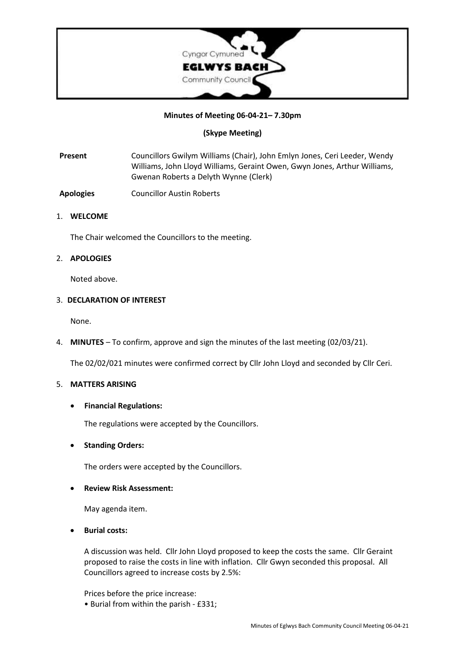

# **Minutes of Meeting 06-04-21– 7.30pm**

# **(Skype Meeting)**

**Present** Councillors Gwilym Williams (Chair), John Emlyn Jones, Ceri Leeder, Wendy Williams, John Lloyd Williams, Geraint Owen, Gwyn Jones, Arthur Williams, Gwenan Roberts a Delyth Wynne (Clerk)

**Apologies** Councillor Austin Roberts

## 1. **WELCOME**

The Chair welcomed the Councillors to the meeting.

## 2. **APOLOGIES**

Noted above.

#### 3. **DECLARATION OF INTEREST**

None.

4. **MINUTES** – To confirm, approve and sign the minutes of the last meeting (02/03/21).

The 02/02/021 minutes were confirmed correct by Cllr John Lloyd and seconded by Cllr Ceri.

#### 5. **MATTERS ARISING**

## • **Financial Regulations:**

The regulations were accepted by the Councillors.

## • **Standing Orders:**

The orders were accepted by the Councillors.

## • **Review Risk Assessment:**

May agenda item.

• **Burial costs:**

A discussion was held. Cllr John Lloyd proposed to keep the costs the same. Cllr Geraint proposed to raise the costs in line with inflation. Cllr Gwyn seconded this proposal. All Councillors agreed to increase costs by 2.5%:

Prices before the price increase:

• Burial from within the parish - £331;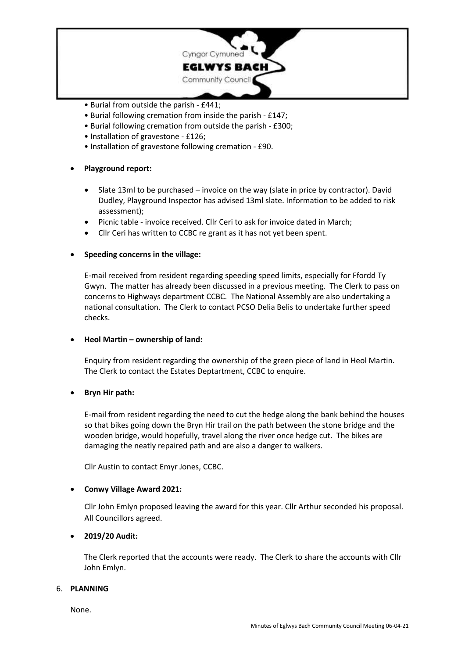

- Burial from outside the parish £441;
- Burial following cremation from inside the parish £147;
- Burial following cremation from outside the parish £300;
- Installation of gravestone £126;
- Installation of gravestone following cremation £90.

# • **Playground report:**

- Slate 13ml to be purchased invoice on the way (slate in price by contractor). David Dudley, Playground Inspector has advised 13ml slate. Information to be added to risk assessment);
- Picnic table invoice received. Cllr Ceri to ask for invoice dated in March;
- Cllr Ceri has written to CCBC re grant as it has not yet been spent.

## • **Speeding concerns in the village:**

E-mail received from resident regarding speeding speed limits, especially for Ffordd Ty Gwyn. The matter has already been discussed in a previous meeting. The Clerk to pass on concerns to Highways department CCBC. The National Assembly are also undertaking a national consultation. The Clerk to contact PCSO Delia Belis to undertake further speed checks.

## • **Heol Martin – ownership of land:**

Enquiry from resident regarding the ownership of the green piece of land in Heol Martin. The Clerk to contact the Estates Deptartment, CCBC to enquire.

## • **Bryn Hir path:**

E-mail from resident regarding the need to cut the hedge along the bank behind the houses so that bikes going down the Bryn Hir trail on the path between the stone bridge and the wooden bridge, would hopefully, travel along the river once hedge cut. The bikes are damaging the neatly repaired path and are also a danger to walkers.

Cllr Austin to contact Emyr Jones, CCBC.

## • **Conwy Village Award 2021:**

Cllr John Emlyn proposed leaving the award for this year. Cllr Arthur seconded his proposal. All Councillors agreed.

# • **2019/20 Audit:**

The Clerk reported that the accounts were ready. The Clerk to share the accounts with Cllr John Emlyn.

## 6. **PLANNING**

None.